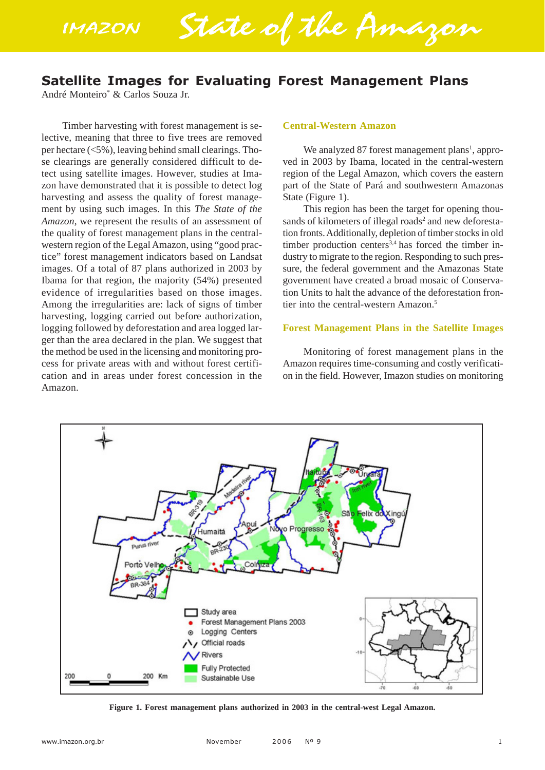**IMAZON** State of the Amazon

# **Satellite Images for Evaluating Forest Management Plans**

André Monteiro\* & Carlos Souza Jr.

Timber harvesting with forest management is selective, meaning that three to five trees are removed per hectare (<5%), leaving behind small clearings. Those clearings are generally considered difficult to detect using satellite images. However, studies at Imazon have demonstrated that it is possible to detect log harvesting and assess the quality of forest management by using such images. In this *The State of the Amazon*, we represent the results of an assessment of the quality of forest management plans in the centralwestern region of the Legal Amazon, using "good practice" forest management indicators based on Landsat images. Of a total of 87 plans authorized in 2003 by Ibama for that region, the majority (54%) presented evidence of irregularities based on those images. Among the irregularities are: lack of signs of timber harvesting, logging carried out before authorization, logging followed by deforestation and area logged larger than the area declared in the plan. We suggest that the method be used in the licensing and monitoring process for private areas with and without forest certification and in areas under forest concession in the Amazon.

#### **Central-Western Amazon**

We analyzed 87 forest management plans<sup>1</sup>, approved in 2003 by Ibama, located in the central-western region of the Legal Amazon, which covers the eastern part of the State of Pará and southwestern Amazonas State (Figure 1).

This region has been the target for opening thousands of kilometers of illegal roads<sup>2</sup> and new deforestation fronts. Additionally, depletion of timber stocks in old timber production centers $3,4$  has forced the timber industry to migrate to the region. Responding to such pressure, the federal government and the Amazonas State government have created a broad mosaic of Conservation Units to halt the advance of the deforestation frontier into the central-western Amazon.<sup>5</sup>

#### **Forest Management Plans in the Satellite Images**

Monitoring of forest management plans in the Amazon requires time-consuming and costly verification in the field. However, Imazon studies on monitoring



**Figure 1. Forest management plans authorized in 2003 in the central-west Legal Amazon.**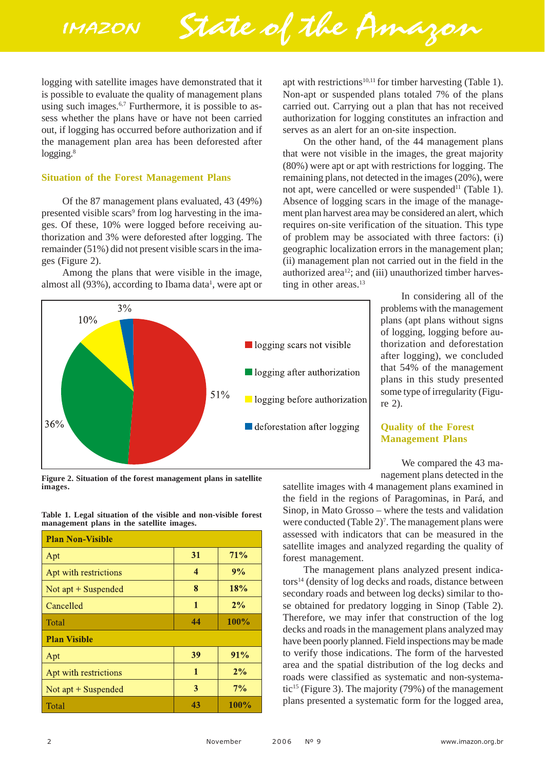State of the Amazon

logging with satellite images have demonstrated that it is possible to evaluate the quality of management plans using such images.<sup>6,7</sup> Furthermore, it is possible to assess whether the plans have or have not been carried out, if logging has occurred before authorization and if the management plan area has been deforested after logging.<sup>8</sup>

## **Situation of the Forest Management Plans**

Of the 87 management plans evaluated, 43 (49%) presented visible scars<sup>9</sup> from log harvesting in the images. Of these, 10% were logged before receiving authorization and 3% were deforested after logging. The remainder (51%) did not present visible scars in the images (Figure 2).

Among the plans that were visible in the image, almost all  $(93%)$ , according to Ibama data<sup>1</sup>, were apt or

apt with restrictions<sup>10,11</sup> for timber harvesting (Table 1). Non-apt or suspended plans totaled 7% of the plans carried out. Carrying out a plan that has not received authorization for logging constitutes an infraction and serves as an alert for an on-site inspection.

On the other hand, of the 44 management plans that were not visible in the images, the great majority (80%) were apt or apt with restrictions for logging. The remaining plans, not detected in the images (20%), were not apt, were cancelled or were suspended<sup>11</sup> (Table 1). Absence of logging scars in the image of the management plan harvest area may be considered an alert, which requires on-site verification of the situation. This type of problem may be associated with three factors: (i) geographic localization errors in the management plan; (ii) management plan not carried out in the field in the authorized area<sup>12</sup>; and (iii) unauthorized timber harvesting in other areas.<sup>13</sup>



**Figure 2. Situation of the forest management plans in satellite images.**

**Table 1. Legal situation of the visible and non-visible forest management plans in the satellite images.**

| <b>Plan Non-Visible</b> |                         |         |  |  |  |
|-------------------------|-------------------------|---------|--|--|--|
| Apt                     | 31                      | 71%     |  |  |  |
| Apt with restrictions   | $\overline{\mathbf{4}}$ | 9%      |  |  |  |
| Not $apt + Suspended$   | 8                       | 18%     |  |  |  |
| Cancelled               | 1                       | 2%      |  |  |  |
| Total                   | 44                      | $100\%$ |  |  |  |
| <b>Plan Visible</b>     |                         |         |  |  |  |
| Apt                     | 39                      | 91%     |  |  |  |
| Apt with restrictions   | $\mathbf{1}$            | 2%      |  |  |  |
| Not apt + Suspended     | 3                       | $7\%$   |  |  |  |
| Total                   | 43                      | 100%    |  |  |  |

In considering all of the problems with the management plans (apt plans without signs of logging, logging before authorization and deforestation after logging), we concluded that 54% of the management plans in this study presented some type of irregularity (Figure 2).

# **Quality of the Forest Management Plans**

We compared the 43 management plans detected in the

satellite images with 4 management plans examined in the field in the regions of Paragominas, in Pará, and Sinop, in Mato Grosso – where the tests and validation were conducted (Table 2)<sup>7</sup>. The management plans were assessed with indicators that can be measured in the satellite images and analyzed regarding the quality of forest management.

The management plans analyzed present indicators<sup>14</sup> (density of log decks and roads, distance between secondary roads and between log decks) similar to those obtained for predatory logging in Sinop (Table 2). Therefore, we may infer that construction of the log decks and roads in the management plans analyzed may have been poorly planned. Field inspections may be made to verify those indications. The form of the harvested area and the spatial distribution of the log decks and roads were classified as systematic and non-systematic<sup>15</sup> (Figure 3). The majority  $(79%)$  of the management plans presented a systematic form for the logged area,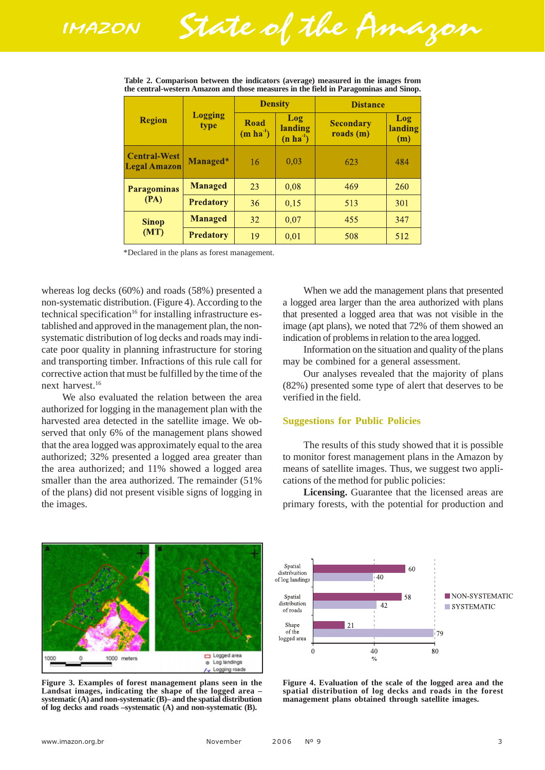State of the Amazon

| <b>Region</b>                              | <b>Logging</b><br>type | <b>Density</b>     |                                    | <b>Distance</b>                              |                       |
|--------------------------------------------|------------------------|--------------------|------------------------------------|----------------------------------------------|-----------------------|
|                                            |                        | Road<br>$(m ha-1)$ | Log<br>landing<br>$(n \, ha^{-1})$ | <b>Secondary</b><br>$\text{roads}(\text{m})$ | Log<br>landing<br>(m) |
| <b>Central-West</b><br><b>Legal Amazon</b> | Managed*               | 16                 | 0,03                               | 623                                          | 484                   |
| <b>Paragominas</b><br>(PA)                 | <b>Managed</b>         | 23                 | 0,08                               | 469                                          | 260                   |
|                                            | <b>Predatory</b>       | 36                 | 0,15                               | 513                                          | 301                   |
| <b>Sinop</b><br>(MT)                       | <b>Managed</b>         | 32                 | 0,07                               | 455                                          | 347                   |
|                                            | <b>Predatory</b>       | 19                 | 0,01                               | 508                                          | 512                   |

**Table 2. Comparison between the indicators (average) measured in the images from the central-western Amazon and those measures in the field in Paragominas and Sinop.**

\*Declared in the plans as forest management.

whereas log decks (60%) and roads (58%) presented a non-systematic distribution. (Figure 4). According to the technical specification<sup>16</sup> for installing infrastructure established and approved in the management plan, the nonsystematic distribution of log decks and roads may indicate poor quality in planning infrastructure for storing and transporting timber. Infractions of this rule call for corrective action that must be fulfilled by the time of the next harvest.16

We also evaluated the relation between the area authorized for logging in the management plan with the harvested area detected in the satellite image. We observed that only 6% of the management plans showed that the area logged was approximately equal to the area authorized; 32% presented a logged area greater than the area authorized; and 11% showed a logged area smaller than the area authorized. The remainder (51% of the plans) did not present visible signs of logging in the images.

When we add the management plans that presented a logged area larger than the area authorized with plans that presented a logged area that was not visible in the image (apt plans), we noted that 72% of them showed an indication of problems in relation to the area logged.

Information on the situation and quality of the plans may be combined for a general assessment.

Our analyses revealed that the majority of plans (82%) presented some type of alert that deserves to be verified in the field.

### **Suggestions for Public Policies**

The results of this study showed that it is possible to monitor forest management plans in the Amazon by means of satellite images. Thus, we suggest two applications of the method for public policies:

**Licensing.** Guarantee that the licensed areas are primary forests, with the potential for production and



**Figure 3. Examples of forest management plans seen in the Landsat images, indicating the shape of the logged area – systematic (A) and non-systematic (B)– and the spatial distribution of log decks and roads –systematic (A) and non-systematic (B).**



**Figure 4. Evaluation of the scale of the logged area and the spatial distribution of log decks and roads in the forest management plans obtained through satellite images.**